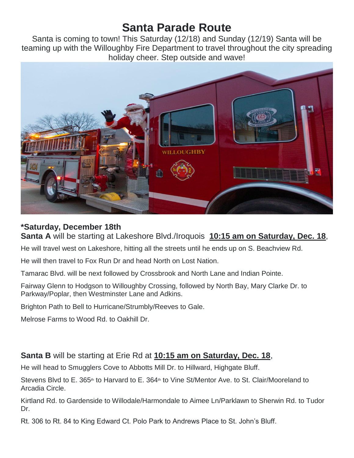# **Santa Parade Route**

Santa is coming to town! This Saturday (12/18) and Sunday (12/19) Santa will be teaming up with the Willoughby Fire Department to travel throughout the city spreading holiday cheer. Step outside and wave!



### **\*Saturday, December 18th**

**Santa A** will be starting at Lakeshore Blvd./Iroquois **10:15 am on Saturday, Dec. 18**,

He will travel west on Lakeshore, hitting all the streets until he ends up on S. Beachview Rd.

He will then travel to Fox Run Dr and head North on Lost Nation.

Tamarac Blvd. will be next followed by Crossbrook and North Lane and Indian Pointe.

Fairway Glenn to Hodgson to Willoughby Crossing, followed by North Bay, Mary Clarke Dr. to Parkway/Poplar, then Westminster Lane and Adkins.

Brighton Path to Bell to Hurricane/Strumbly/Reeves to Gale.

Melrose Farms to Wood Rd. to Oakhill Dr.

### **Santa B** will be starting at Erie Rd at **10:15 am on Saturday, Dec. 18**,

He will head to Smugglers Cove to Abbotts Mill Dr. to Hillward, Highgate Bluff.

Stevens Blyd to E. 365<sup>th</sup> to Harvard to E. 364<sup>th</sup> to Vine St/Mentor Ave. to St. Clair/Mooreland to Arcadia Circle.

Kirtland Rd. to Gardenside to Willodale/Harmondale to Aimee Ln/Parklawn to Sherwin Rd. to Tudor Dr.

Rt. 306 to Rt. 84 to King Edward Ct. Polo Park to Andrews Place to St. John's Bluff.